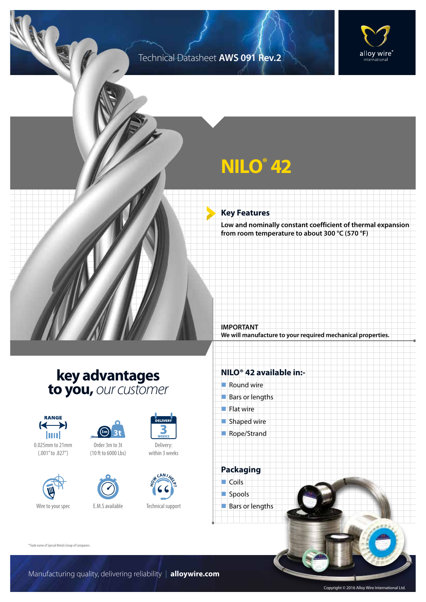### Technical Datasheet **AWS 091 Rev.2**



# **NILO® 42**

#### **Key Features**

**Low and nominally constant coefficient of thermal expansion from room temperature to about 300 °C (570 °F)**

**We will manufacture to your required mechanical properties.**

## **key advantages to you,** *our customer*



0.025mm to 21mm (.001" to .827")







Delivery: within 3 weeks



Technical support

#### **NILO® 42 available in:-**

 $\blacksquare$  Round wire

**IMPORTANT**

- Bars or lengths
- $\blacksquare$  Flat wire
- $\blacksquare$  Shaped wire
- Rope/Strand

**Packaging**  $\Box$  Coils spools  $\blacksquare$  Bars or lengths

®Trade name of Special Metals Group of Companies.

Copyright © 2016 Alloy Wire International Ltd.